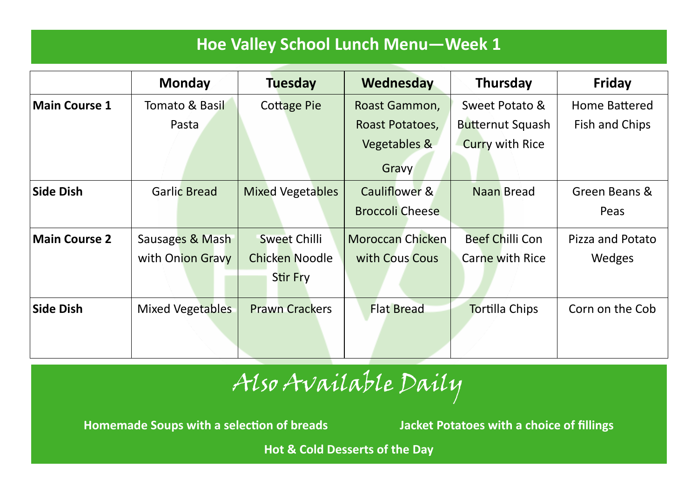### **Hoe Valley School Lunch Menu—Week 1**

|                      | <b>Monday</b>       | <b>Tuesday</b>          | Wednesday               | Thursday                | Friday               |
|----------------------|---------------------|-------------------------|-------------------------|-------------------------|----------------------|
| <b>Main Course 1</b> | Tomato & Basil      | <b>Cottage Pie</b>      | Roast Gammon,           | Sweet Potato &          | <b>Home Battered</b> |
|                      | Pasta               |                         | Roast Potatoes,         | <b>Butternut Squash</b> | Fish and Chips       |
|                      |                     |                         | Vegetables &            | <b>Curry with Rice</b>  |                      |
|                      |                     |                         | Gravy                   |                         |                      |
| Side Dish            | <b>Garlic Bread</b> | <b>Mixed Vegetables</b> | Cauliflower &           | Naan Bread              | Green Beans &        |
|                      |                     |                         | <b>Broccoli Cheese</b>  |                         | Peas                 |
| <b>Main Course 2</b> | Sausages & Mash     | <b>Sweet Chilli</b>     | <b>Moroccan Chicken</b> | <b>Beef Chilli Con</b>  | Pizza and Potato     |
|                      | with Onion Gravy    | <b>Chicken Noodle</b>   | with Cous Cous          | Carne with Rice         | Wedges               |
|                      |                     | Stir Fry                |                         |                         |                      |
| Side Dish            | Mixed Vegetables    | <b>Prawn Crackers</b>   | <b>Flat Bread</b>       | <b>Tortilla Chips</b>   | Corn on the Cob      |
|                      |                     |                         |                         |                         |                      |

# Also Available Daily

**Homemade Soups with a selection of breads Jacket Potatoes with a choice of fillings**

**Hot & Cold Desserts of the Day**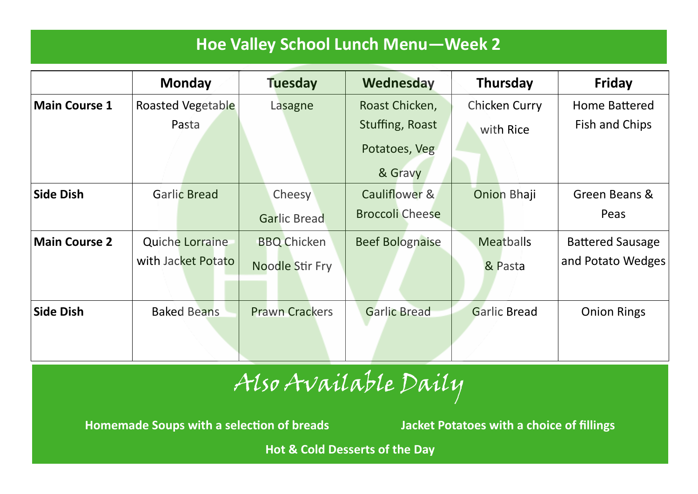### **Hoe Valley School Lunch Menu—Week 2**

|                      | <b>Monday</b>            | <b>Tuesday</b>        | Wednesday              | Thursday            | <b>Friday</b>           |
|----------------------|--------------------------|-----------------------|------------------------|---------------------|-------------------------|
| <b>Main Course 1</b> | <b>Roasted Vegetable</b> | Lasagne               | Roast Chicken,         | Chicken Curry       | Home Battered           |
|                      | Pasta                    |                       | Stuffing, Roast        | with Rice           | Fish and Chips          |
|                      |                          |                       | Potatoes, Veg          |                     |                         |
|                      |                          |                       | & Gravy                |                     |                         |
| <b>Side Dish</b>     | <b>Garlic Bread</b>      | Cheesy                | Cauliflower &          | <b>Onion Bhaji</b>  | Green Beans &           |
|                      |                          | <b>Garlic Bread</b>   | <b>Broccoli Cheese</b> |                     | Peas                    |
| <b>Main Course 2</b> | <b>Quiche Lorraine</b>   | <b>BBQ Chicken</b>    | <b>Beef Bolognaise</b> | <b>Meatballs</b>    | <b>Battered Sausage</b> |
|                      | with Jacket Potato       | Noodle Stir Fry       |                        | & Pasta             | and Potato Wedges       |
| <b>Side Dish</b>     | <b>Baked Beans</b>       | <b>Prawn Crackers</b> | <b>Garlic Bread</b>    | <b>Garlic Bread</b> | <b>Onion Rings</b>      |

# Also Available Daily

**Homemade Soups with a selection of breads Jacket Potatoes with a choice of fillings**

**Hot & Cold Desserts of the Day**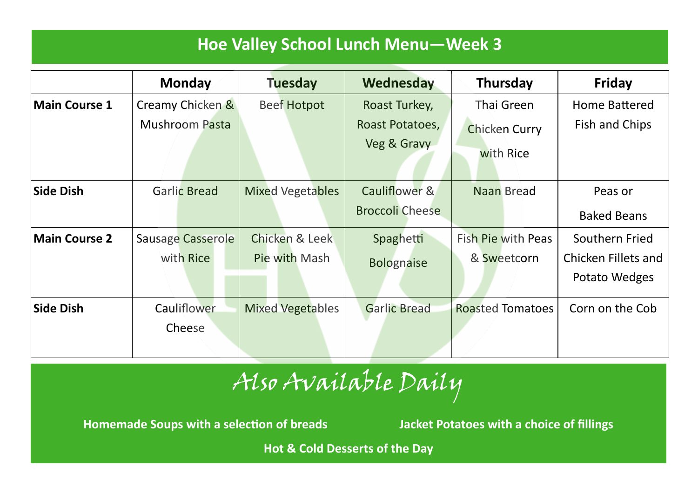### **Hoe Valley School Lunch Menu—Week 3**

|                      | <b>Monday</b>            | <b>Tuesday</b>          | Wednesday                      | <b>Thursday</b>                   | <b>Friday</b>       |
|----------------------|--------------------------|-------------------------|--------------------------------|-----------------------------------|---------------------|
| <b>Main Course 1</b> | Creamy Chicken &         | <b>Beef Hotpot</b>      | Roast Turkey,                  | Thai Green                        | Home Battered       |
|                      | <b>Mushroom Pasta</b>    |                         | Roast Potatoes,<br>Veg & Gravy | <b>Chicken Curry</b><br>with Rice | Fish and Chips      |
| <b>Side Dish</b>     | <b>Garlic Bread</b>      | <b>Mixed Vegetables</b> | Cauliflower &                  | Naan Bread                        | Peas or             |
|                      |                          |                         | <b>Broccoli Cheese</b>         |                                   | <b>Baked Beans</b>  |
| <b>Main Course 2</b> | <b>Sausage Casserole</b> | Chicken & Leek          | Spaghetti                      | <b>Fish Pie with Peas</b>         | Southern Fried      |
|                      | with Rice                | Pie with Mash           | <b>Bolognaise</b>              | & Sweetcorn                       | Chicken Fillets and |
|                      |                          |                         |                                |                                   | Potato Wedges       |
| <b>Side Dish</b>     | Cauliflower              | <b>Mixed Vegetables</b> | <b>Garlic Bread</b>            | <b>Roasted Tomatoes</b>           | Corn on the Cob     |
|                      | Cheese                   |                         |                                |                                   |                     |

# Also Available Daily

**Homemade Soups with a selection of breads Jacket Potatoes with a choice of fillings**

**Hot & Cold Desserts of the Day**